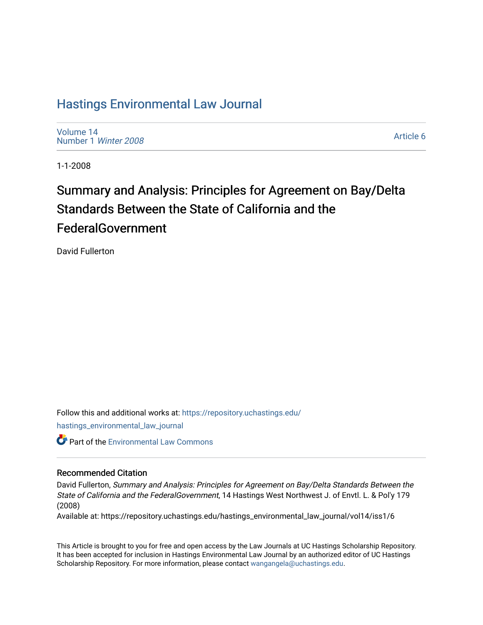## [Hastings Environmental Law Journal](https://repository.uchastings.edu/hastings_environmental_law_journal)

[Volume 14](https://repository.uchastings.edu/hastings_environmental_law_journal/vol14) [Number 1](https://repository.uchastings.edu/hastings_environmental_law_journal/vol14/iss1) Winter 2008

[Article 6](https://repository.uchastings.edu/hastings_environmental_law_journal/vol14/iss1/6) 

1-1-2008

# Summary and Analysis: Principles for Agreement on Bay/Delta Standards Between the State of California and the FederalGovernment

David Fullerton

Follow this and additional works at: [https://repository.uchastings.edu/](https://repository.uchastings.edu/hastings_environmental_law_journal?utm_source=repository.uchastings.edu%2Fhastings_environmental_law_journal%2Fvol14%2Fiss1%2F6&utm_medium=PDF&utm_campaign=PDFCoverPages) [hastings\\_environmental\\_law\\_journal](https://repository.uchastings.edu/hastings_environmental_law_journal?utm_source=repository.uchastings.edu%2Fhastings_environmental_law_journal%2Fvol14%2Fiss1%2F6&utm_medium=PDF&utm_campaign=PDFCoverPages) 

**C** Part of the [Environmental Law Commons](http://network.bepress.com/hgg/discipline/599?utm_source=repository.uchastings.edu%2Fhastings_environmental_law_journal%2Fvol14%2Fiss1%2F6&utm_medium=PDF&utm_campaign=PDFCoverPages)

## Recommended Citation

David Fullerton, Summary and Analysis: Principles for Agreement on Bay/Delta Standards Between the State of California and the FederalGovernment, 14 Hastings West Northwest J. of Envtl. L. & Pol'y 179 (2008)

Available at: https://repository.uchastings.edu/hastings\_environmental\_law\_journal/vol14/iss1/6

This Article is brought to you for free and open access by the Law Journals at UC Hastings Scholarship Repository. It has been accepted for inclusion in Hastings Environmental Law Journal by an authorized editor of UC Hastings Scholarship Repository. For more information, please contact [wangangela@uchastings.edu.](mailto:wangangela@uchastings.edu)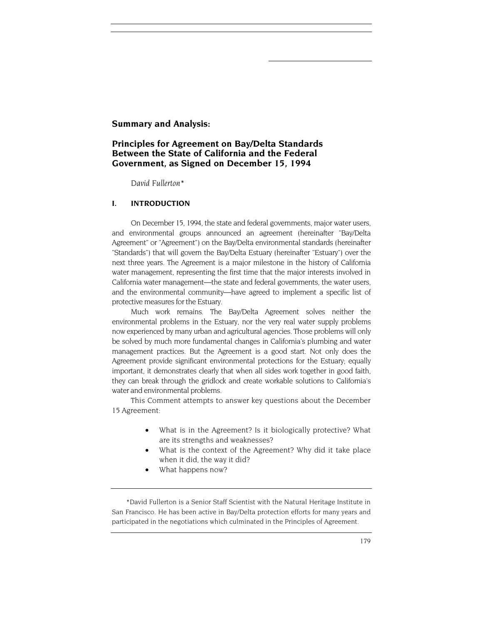## **Summary and Analysis:**

## **Principles for Agreement on Bay/Delta Standards Between the State of California and the Federal Government, as Signed on December 15, 1994**

 *David Fullerton\**

## **I. INTRODUCTION**

On December 15, 1994, the state and federal governments, major water users, and environmental groups announced an agreement (hereinafter "Bay/Delta Agreement" or "Agreement") on the Bay/Delta environmental standards (hereinafter "Standards") that will govern the Bay/Delta Estuary (hereinafter "Estuary") over the next three years. The Agreement is a major milestone in the history of California water management, representing the first time that the major interests involved in California water management—the state and federal governments, the water users, and the environmental community—have agreed to implement a specific list of protective measures for the Estuary.

Much work remains. The Bay/Delta Agreement solves neither the environmental problems in the Estuary, nor the very real water supply problems now experienced by many urban and agricultural agencies. Those problems will only be solved by much more fundamental changes in California's plumbing and water management practices. But the Agreement is a good start. Not only does the Agreement provide significant environmental protections for the Estuary; equally important, it demonstrates clearly that when all sides work together in good faith, they can break through the gridlock and create workable solutions to California's water and environmental problems.

This Comment attempts to answer key questions about the December 15 Agreement:

- What is in the Agreement? Is it biologically protective? What are its strengths and weaknesses?
- What is the context of the Agreement? Why did it take place when it did, the way it did?
- What happens now?

\*David Fullerton is a Senior Staff Scientist with the Natural Heritage Institute in San Francisco. He has been active in Bay/Delta protection efforts for many years and participated in the negotiations which culminated in the Principles of Agreement.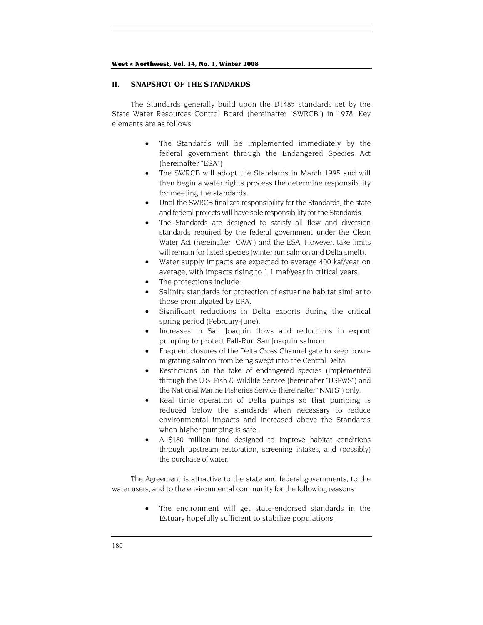#### **II. SNAPSHOT OF THE STANDARDS**

The Standards generally build upon the D1485 standards set by the State Water Resources Control Board (hereinafter "SWRCB") in 1978. Key elements are as follows:

- The Standards will be implemented immediately by the federal government through the Endangered Species Act (hereinafter "ESA")
- The SWRCB will adopt the Standards in March 1995 and will then begin a water rights process the determine responsibility for meeting the standards.
- Until the SWRCB finalizes responsibility for the Standards, the state and federal projects will have sole responsibility for the Standards.
- The Standards are designed to satisfy all flow and diversion standards required by the federal government under the Clean Water Act (hereinafter "CWA") and the ESA. However, take limits will remain for listed species (winter run salmon and Delta smelt).
- Water supply impacts are expected to average 400 kaf/year on average, with impacts rising to 1.1 maf/year in critical years.
- The protections include:
- Salinity standards for protection of estuarine habitat similar to those promulgated by EPA.
- Significant reductions in Delta exports during the critical spring period (February-June).
- Increases in San Joaquin flows and reductions in export pumping to protect Fall-Run San Joaquin salmon.
- Frequent closures of the Delta Cross Channel gate to keep downmigrating salmon from being swept into the Central Delta.
- Restrictions on the take of endangered species (implemented through the U.S. Fish & Wildlife Service (hereinafter "USFWS") and the National Marine Fisheries Service (hereinafter "NMFS") only.
- Real time operation of Delta pumps so that pumping is reduced below the standards when necessary to reduce environmental impacts and increased above the Standards when higher pumping is safe.
- A \$180 million fund designed to improve habitat conditions through upstream restoration, screening intakes, and (possibly) the purchase of water.

The Agreement is attractive to the state and federal governments, to the water users, and to the environmental community for the following reasons:

> • The environment will get state-endorsed standards in the Estuary hopefully sufficient to stabilize populations.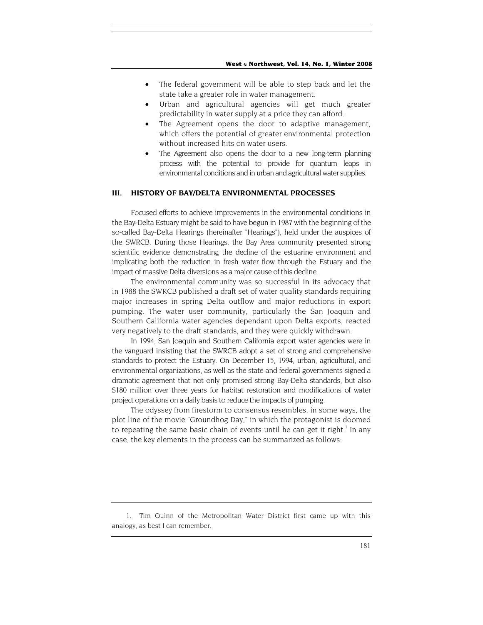- The federal government will be able to step back and let the state take a greater role in water management.
- Urban and agricultural agencies will get much greater predictability in water supply at a price they can afford.
- The Agreement opens the door to adaptive management, which offers the potential of greater environmental protection without increased hits on water users.
- The Agreement also opens the door to a new long-term planning process with the potential to provide for quantum leaps in environmental conditions and in urban and agricultural water supplies.

## **III. HISTORY OF BAY/DELTA ENVIRONMENTAL PROCESSES**

Focused efforts to achieve improvements in the environmental conditions in the Bay-Delta Estuary might be said to have begun in 1987 with the beginning of the so-called Bay-Delta Hearings (hereinafter "Hearings"), held under the auspices of the SWRCB. During those Hearings, the Bay Area community presented strong scientific evidence demonstrating the decline of the estuarine environment and implicating both the reduction in fresh water flow through the Estuary and the impact of massive Delta diversions as a major cause of this decline.

The environmental community was so successful in its advocacy that in 1988 the SWRCB published a draft set of water quality standards requiring major increases in spring Delta outflow and major reductions in export pumping. The water user community, particularly the San Joaquin and Southern California water agencies dependant upon Delta exports, reacted very negatively to the draft standards, and they were quickly withdrawn.

In 1994, San Joaquin and Southern California export water agencies were in the vanguard insisting that the SWRCB adopt a set of strong and comprehensive standards to protect the Estuary. On December 15, 1994, urban, agricultural, and environmental organizations, as well as the state and federal governments signed a dramatic agreement that not only promised strong Bay-Delta standards, but also \$180 million over three years for habitat restoration and modifications of water project operations on a daily basis to reduce the impacts of pumping.

The odyssey from firestorm to consensus resembles, in some ways, the plot line of the movie "Groundhog Day," in which the protagonist is doomed to repeating the same basic chain of events until he can get it right.<sup>1</sup> In any case, the key elements in the process can be summarized as follows:

<span id="page-3-0"></span><sup>1.</sup> Tim Quinn of the Metropolitan Water District first came up with this analogy, as best I can remember.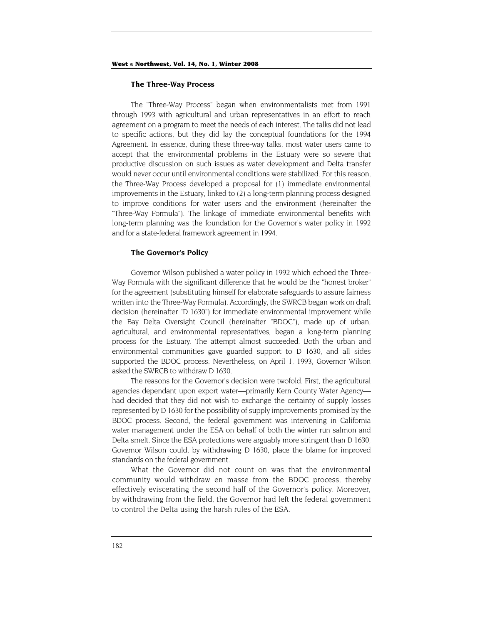#### **The Three-Way Process**

The "Three-Way Process" began when environmentalists met from 1991 through 1993 with agricultural and urban representatives in an effort to reach agreement on a program to meet the needs of each interest. The talks did not lead to specific actions, but they did lay the conceptual foundations for the 1994 Agreement. In essence, during these three-way talks, most water users came to accept that the environmental problems in the Estuary were so severe that productive discussion on such issues as water development and Delta transfer would never occur until environmental conditions were stabilized. For this reason, the Three-Way Process developed a proposal for (1) immediate environmental improvements in the Estuary, linked to (2) a long-term planning process designed to improve conditions for water users and the environment (hereinafter the "Three-Way Formula"). The linkage of immediate environmental benefits with long-term planning was the foundation for the Governor's water policy in 1992 and for a state-federal framework agreement in 1994.

#### **The Governor's Policy**

Governor Wilson published a water policy in 1992 which echoed the Three-Way Formula with the significant difference that he would be the "honest broker" for the agreement (substituting himself for elaborate safeguards to assure fairness written into the Three-Way Formula). Accordingly, the SWRCB began work on draft decision (hereinafter "D 1630") for immediate environmental improvement while the Bay Delta Oversight Council (hereinafter "BDOC"), made up of urban, agricultural, and environmental representatives, began a long-term planning process for the Estuary. The attempt almost succeeded. Both the urban and environmental communities gave guarded support to D 1630, and all sides supported the BDOC process. Nevertheless, on April 1, 1993, Governor Wilson asked the SWRCB to withdraw D 1630.

The reasons for the Governor's decision were twofold. First, the agricultural agencies dependant upon export water—primarily Kern County Water Agency had decided that they did not wish to exchange the certainty of supply losses represented by D 1630 for the possibility of supply improvements promised by the BDOC process. Second, the federal government was intervening in California water management under the ESA on behalf of both the winter run salmon and Delta smelt. Since the ESA protections were arguably more stringent than D 1630, Governor Wilson could, by withdrawing D 1630, place the blame for improved standards on the federal government.

What the Governor did not count on was that the environmental community would withdraw en masse from the BDOC process, thereby effectively eviscerating the second half of the Governor's policy. Moreover, by withdrawing from the field, the Governor had left the federal government to control the Delta using the harsh rules of the ESA.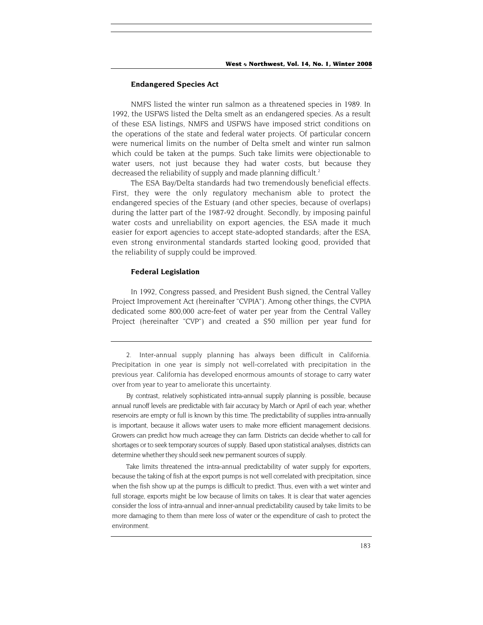#### **Endangered Species Act**

NMFS listed the winter run salmon as a threatened species in 1989. In 1992, the USFWS listed the Delta smelt as an endangered species. As a result of these ESA listings, NMFS and USFWS have imposed strict conditions on the operations of the state and federal water projects. Of particular concern were numerical limits on the number of Delta smelt and winter run salmon which could be taken at the pumps. Such take limits were objectionable to water users, not just because they had water costs, but because they decreased the reliability of supply and made planning difficult.<sup>2</sup>

The ESA Bay/Delta standards had two tremendously beneficial effects. First, they were the only regulatory mechanism able to protect the endangered species of the Estuary (and other species, because of overlaps) during the latter part of the 1987-92 drought. Secondly, by imposing painful water costs and unreliability on export agencies, the ESA made it much easier for export agencies to accept state-adopted standards; after the ESA, even strong environmental standards started looking good, provided that the reliability of supply could be improved.

#### **Federal Legislation**

In 1992, Congress passed, and President Bush signed, the Central Valley Project Improvement Act (hereinafter "CVPIA"). Among other things, the CVPIA dedicated some 800,000 acre-feet of water per year from the Central Valley Project (hereinafter "CVP") and created a \$50 million per year fund for

Take limits threatened the intra-annual predictability of water supply for exporters, because the taking of fish at the export pumps is not well correlated with precipitation, since when the fish show up at the pumps is difficult to predict. Thus, even with a wet winter and full storage, exports might be low because of limits on takes. It is clear that water agencies consider the loss of intra-annual and inner-annual predictability caused by take limits to be more damaging to them than mere loss of water or the expenditure of cash to protect the environment.

<span id="page-5-0"></span><sup>2.</sup> Inter-annual supply planning has always been difficult in California. Precipitation in one year is simply not well-correlated with precipitation in the previous year. California has developed enormous amounts of storage to carry water over from year to year to ameliorate this uncertainty.

By contrast, relatively sophisticated intra-annual supply planning is possible, because annual runoff levels are predictable with fair accuracy by March or April of each year; whether reservoirs are empty or full is known by this time. The predictability of supplies intra-annually is important, because it allows water users to make more efficient management decisions. Growers can predict how much acreage they can farm. Districts can decide whether to call for shortages or to seek temporary sources of supply. Based upon statistical analyses, districts can determine whether they should seek new permanent sources of supply.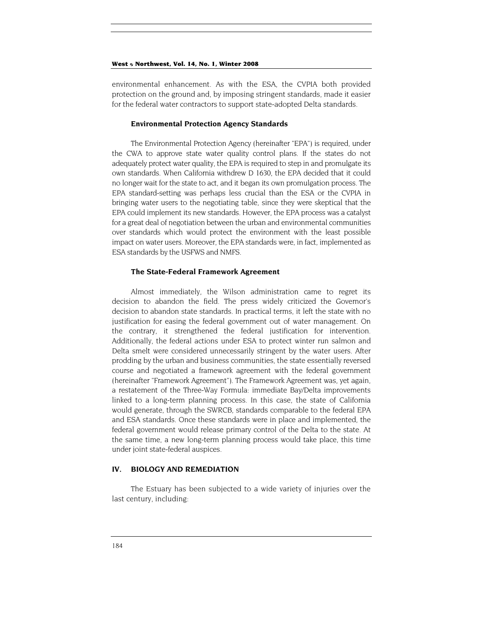environmental enhancement. As with the ESA, the CVPIA both provided protection on the ground and, by imposing stringent standards, made it easier for the federal water contractors to support state-adopted Delta standards.

#### **Environmental Protection Agency Standards**

The Environmental Protection Agency (hereinafter "EPA") is required, under the CWA to approve state water quality control plans. If the states do not adequately protect water quality, the EPA is required to step in and promulgate its own standards. When California withdrew D 1630, the EPA decided that it could no longer wait for the state to act, and it began its own promulgation process. The EPA standard-setting was perhaps less crucial than the ESA or the CVPIA in bringing water users to the negotiating table, since they were skeptical that the EPA could implement its new standards. However, the EPA process was a catalyst for a great deal of negotiation between the urban and environmental communities over standards which would protect the environment with the least possible impact on water users. Moreover, the EPA standards were, in fact, implemented as ESA standards by the USFWS and NMFS.

#### **The State-Federal Framework Agreement**

Almost immediately, the Wilson administration came to regret its decision to abandon the field. The press widely criticized the Governor's decision to abandon state standards. In practical terms, it left the state with no justification for easing the federal government out of water management. On the contrary, it strengthened the federal justification for intervention. Additionally, the federal actions under ESA to protect winter run salmon and Delta smelt were considered unnecessarily stringent by the water users. After prodding by the urban and business communities, the state essentially reversed course and negotiated a framework agreement with the federal government (hereinafter "Framework Agreement"). The Framework Agreement was, yet again, a restatement of the Three-Way Formula: immediate Bay/Delta improvements linked to a long-term planning process. In this case, the state of California would generate, through the SWRCB, standards comparable to the federal EPA and ESA standards. Once these standards were in place and implemented, the federal government would release primary control of the Delta to the state. At the same time, a new long-term planning process would take place, this time under joint state-federal auspices.

## **IV. BIOLOGY AND REMEDIATION**

The Estuary has been subjected to a wide variety of injuries over the last century, including: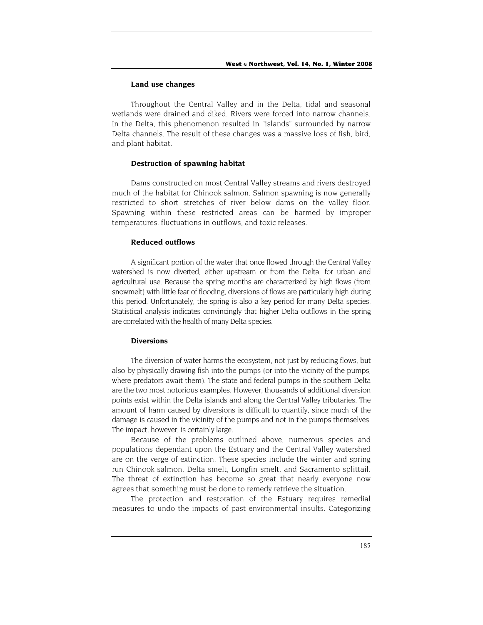#### **Land use changes**

Throughout the Central Valley and in the Delta, tidal and seasonal wetlands were drained and diked. Rivers were forced into narrow channels. In the Delta, this phenomenon resulted in "islands" surrounded by narrow Delta channels. The result of these changes was a massive loss of fish, bird, and plant habitat.

#### **Destruction of spawning habitat**

Dams constructed on most Central Valley streams and rivers destroyed much of the habitat for Chinook salmon. Salmon spawning is now generally restricted to short stretches of river below dams on the valley floor. Spawning within these restricted areas can be harmed by improper temperatures, fluctuations in outflows, and toxic releases.

## **Reduced outflows**

A significant portion of the water that once flowed through the Central Valley watershed is now diverted, either upstream or from the Delta, for urban and agricultural use. Because the spring months are characterized by high flows (from snowmelt) with little fear of flooding, diversions of flows are particularly high during this period. Unfortunately, the spring is also a key period for many Delta species. Statistical analysis indicates convincingly that higher Delta outflows in the spring are correlated with the health of many Delta species.

#### **Diversions**

The diversion of water harms the ecosystem, not just by reducing flows, but also by physically drawing fish into the pumps (or into the vicinity of the pumps, where predators await them). The state and federal pumps in the southern Delta are the two most notorious examples. However, thousands of additional diversion points exist within the Delta islands and along the Central Valley tributaries. The amount of harm caused by diversions is difficult to quantify, since much of the damage is caused in the vicinity of the pumps and not in the pumps themselves. The impact, however, is certainly large.

Because of the problems outlined above, numerous species and populations dependant upon the Estuary and the Central Valley watershed are on the verge of extinction. These species include the winter and spring run Chinook salmon, Delta smelt, Longfin smelt, and Sacramento splittail. The threat of extinction has become so great that nearly everyone now agrees that something must be done to remedy retrieve the situation.

The protection and restoration of the Estuary requires remedial measures to undo the impacts of past environmental insults. Categorizing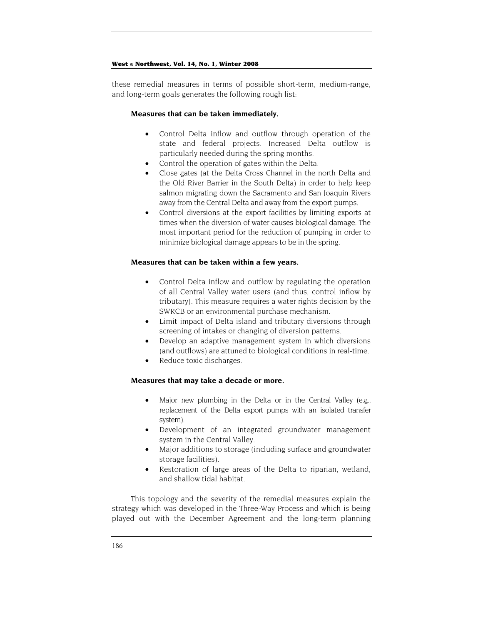these remedial measures in terms of possible short-term, medium-range, and long-term goals generates the following rough list:

#### **Measures that can be taken immediately.**

- Control Delta inflow and outflow through operation of the state and federal projects. Increased Delta outflow is particularly needed during the spring months.
- Control the operation of gates within the Delta.
- Close gates (at the Delta Cross Channel in the north Delta and the Old River Barrier in the South Delta) in order to help keep salmon migrating down the Sacramento and San Joaquin Rivers away from the Central Delta and away from the export pumps.
- Control diversions at the export facilities by limiting exports at times when the diversion of water causes biological damage. The most important period for the reduction of pumping in order to minimize biological damage appears to be in the spring.

### **Measures that can be taken within a few years.**

- Control Delta inflow and outflow by regulating the operation of all Central Valley water users (and thus, control inflow by tributary). This measure requires a water rights decision by the SWRCB or an environmental purchase mechanism.
- Limit impact of Delta island and tributary diversions through screening of intakes or changing of diversion patterns.
- Develop an adaptive management system in which diversions (and outflows) are attuned to biological conditions in real-time.
- Reduce toxic discharges.

## **Measures that may take a decade or more.**

- Major new plumbing in the Delta or in the Central Valley (e.g., replacement of the Delta export pumps with an isolated transfer system).
- Development of an integrated groundwater management system in the Central Valley.
- Major additions to storage (including surface and groundwater storage facilities).
- Restoration of large areas of the Delta to riparian, wetland, and shallow tidal habitat.

This topology and the severity of the remedial measures explain the strategy which was developed in the Three-Way Process and which is being played out with the December Agreement and the long-term planning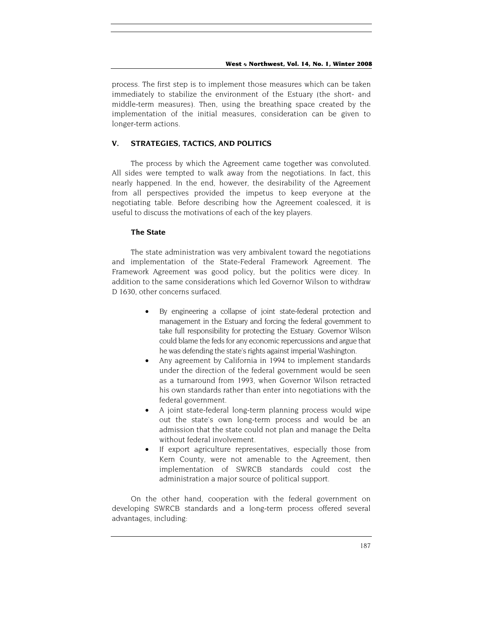process. The first step is to implement those measures which can be taken immediately to stabilize the environment of the Estuary (the short- and middle-term measures). Then, using the breathing space created by the implementation of the initial measures, consideration can be given to longer-term actions.

## **V. STRATEGIES, TACTICS, AND POLITICS**

The process by which the Agreement came together was convoluted. All sides were tempted to walk away from the negotiations. In fact, this nearly happened. In the end, however, the desirability of the Agreement from all perspectives provided the impetus to keep everyone at the negotiating table. Before describing how the Agreement coalesced, it is useful to discuss the motivations of each of the key players.

## **The State**

The state administration was very ambivalent toward the negotiations and implementation of the State-Federal Framework Agreement. The Framework Agreement was good policy, but the politics were dicey. In addition to the same considerations which led Governor Wilson to withdraw D 1630, other concerns surfaced.

- By engineering a collapse of joint state-federal protection and management in the Estuary and forcing the federal government to take full responsibility for protecting the Estuary. Governor Wilson could blame the feds for any economic repercussions and argue that he was defending the state's rights against imperial Washington.
- Any agreement by California in 1994 to implement standards under the direction of the federal government would be seen as a turnaround from 1993, when Governor Wilson retracted his own standards rather than enter into negotiations with the federal government.
- A joint state-federal long-term planning process would wipe out the state's own long-term process and would be an admission that the state could not plan and manage the Delta without federal involvement.
- If export agriculture representatives, especially those from Kern County, were not amenable to the Agreement, then implementation of SWRCB standards could cost the administration a major source of political support.

On the other hand, cooperation with the federal government on developing SWRCB standards and a long-term process offered several advantages, including: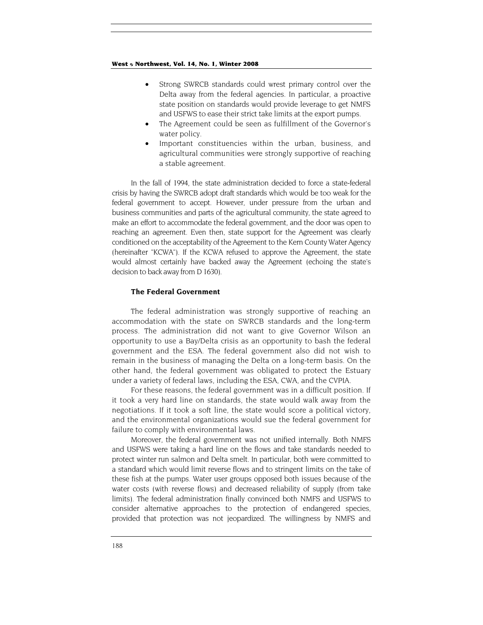- Strong SWRCB standards could wrest primary control over the Delta away from the federal agencies. In particular, a proactive state position on standards would provide leverage to get NMFS and USFWS to ease their strict take limits at the export pumps.
- The Agreement could be seen as fulfillment of the Governor's water policy.
- Important constituencies within the urban, business, and agricultural communities were strongly supportive of reaching a stable agreement.

In the fall of 1994, the state administration decided to force a state-federal crisis by having the SWRCB adopt draft standards which would be too weak for the federal government to accept. However, under pressure from the urban and business communities and parts of the agricultural community, the state agreed to make an effort to accommodate the federal government, and the door was open to reaching an agreement. Even then, state support for the Agreement was clearly conditioned on the acceptability of the Agreement to the Kern County Water Agency (hereinafter "KCWA"). If the KCWA refused to approve the Agreement, the state would almost certainly have backed away the Agreement (echoing the state's decision to back away from D 1630).

#### **The Federal Government**

The federal administration was strongly supportive of reaching an accommodation with the state on SWRCB standards and the long-term process. The administration did not want to give Governor Wilson an opportunity to use a Bay/Delta crisis as an opportunity to bash the federal government and the ESA. The federal government also did not wish to remain in the business of managing the Delta on a long-term basis. On the other hand, the federal government was obligated to protect the Estuary under a variety of federal laws, including the ESA, CWA, and the CVPIA.

For these reasons, the federal government was in a difficult position. If it took a very hard line on standards, the state would walk away from the negotiations. If it took a soft line, the state would score a political victory, and the environmental organizations would sue the federal government for failure to comply with environmental laws.

Moreover, the federal government was not unified internally. Both NMFS and USFWS were taking a hard line on the flows and take standards needed to protect winter run salmon and Delta smelt. In particular, both were committed to a standard which would limit reverse flows and to stringent limits on the take of these fish at the pumps. Water user groups opposed both issues because of the water costs (with reverse flows) and decreased reliability of supply (from take limits). The federal administration finally convinced both NMFS and USFWS to consider alternative approaches to the protection of endangered species, provided that protection was not jeopardized. The willingness by NMFS and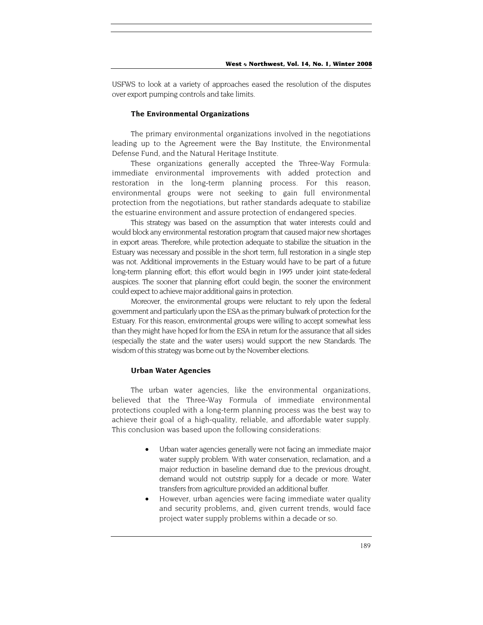USFWS to look at a variety of approaches eased the resolution of the disputes over export pumping controls and take limits.

#### **The Environmental Organizations**

The primary environmental organizations involved in the negotiations leading up to the Agreement were the Bay Institute, the Environmental Defense Fund, and the Natural Heritage Institute.

These organizations generally accepted the Three-Way Formula: immediate environmental improvements with added protection and restoration in the long-term planning process. For this reason, environmental groups were not seeking to gain full environmental protection from the negotiations, but rather standards adequate to stabilize the estuarine environment and assure protection of endangered species.

This strategy was based on the assumption that water interests could and would block any environmental restoration program that caused major new shortages in export areas. Therefore, while protection adequate to stabilize the situation in the Estuary was necessary and possible in the short term, full restoration in a single step was not. Additional improvements in the Estuary would have to be part of a future long-term planning effort; this effort would begin in 1995 under joint state-federal auspices. The sooner that planning effort could begin, the sooner the environment could expect to achieve major additional gains in protection.

Moreover, the environmental groups were reluctant to rely upon the federal government and particularly upon the ESA as the primary bulwark of protection for the Estuary. For this reason, environmental groups were willing to accept somewhat less than they might have hoped for from the ESA in return for the assurance that all sides (especially the state and the water users) would support the new Standards. The wisdom of this strategy was borne out by the November elections.

#### **Urban Water Agencies**

The urban water agencies, like the environmental organizations, believed that the Three-Way Formula of immediate environmental protections coupled with a long-term planning process was the best way to achieve their goal of a high-quality, reliable, and affordable water supply. This conclusion was based upon the following considerations:

- Urban water agencies generally were not facing an immediate major water supply problem. With water conservation, reclamation, and a major reduction in baseline demand due to the previous drought, demand would not outstrip supply for a decade or more. Water transfers from agriculture provided an additional buffer.
- However, urban agencies were facing immediate water quality and security problems, and, given current trends, would face project water supply problems within a decade or so.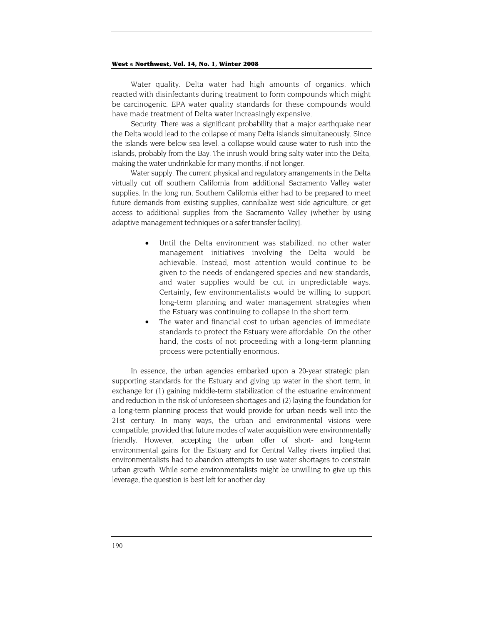Water quality. Delta water had high amounts of organics, which reacted with disinfectants during treatment to form compounds which might be carcinogenic. EPA water quality standards for these compounds would have made treatment of Delta water increasingly expensive.

Security. There was a significant probability that a major earthquake near the Delta would lead to the collapse of many Delta islands simultaneously. Since the islands were below sea level, a collapse would cause water to rush into the islands, probably from the Bay. The inrush would bring salty water into the Delta, making the water undrinkable for many months, if not longer.

Water supply. The current physical and regulatory arrangements in the Delta virtually cut off southern California from additional Sacramento Valley water supplies. In the long run, Southern California either had to be prepared to meet future demands from existing supplies, cannibalize west side agriculture, or get access to additional supplies from the Sacramento Valley (whether by using adaptive management techniques or a safer transfer facility].

- Until the Delta environment was stabilized, no other water management initiatives involving the Delta would be achievable. Instead, most attention would continue to be given to the needs of endangered species and new standards, and water supplies would be cut in unpredictable ways. Certainly, few environmentalists would be willing to support long-term planning and water management strategies when the Estuary was continuing to collapse in the short term.
- The water and financial cost to urban agencies of immediate standards to protect the Estuary were affordable. On the other hand, the costs of not proceeding with a long-term planning process were potentially enormous.

In essence, the urban agencies embarked upon a 20-year strategic plan: supporting standards for the Estuary and giving up water in the short term, in exchange for (1) gaining middle-term stabilization of the estuarine environment and reduction in the risk of unforeseen shortages and (2) laying the foundation for a long-term planning process that would provide for urban needs well into the 21st century. In many ways, the urban and environmental visions were compatible, provided that future modes of water acquisition were environmentally friendly. However, accepting the urban offer of short- and long-term environmental gains for the Estuary and for Central Valley rivers implied that environmentalists had to abandon attempts to use water shortages to constrain urban growth. While some environmentalists might be unwilling to give up this leverage, the question is best left for another day.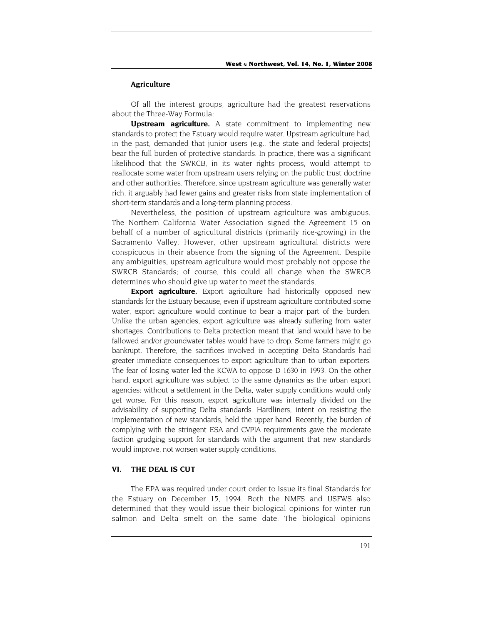#### **Agriculture**

Of all the interest groups, agriculture had the greatest reservations about the Three-Way Formula:

**Upstream agriculture.** A state commitment to implementing new standards to protect the Estuary would require water. Upstream agriculture had, in the past, demanded that junior users (e.g., the state and federal projects) bear the full burden of protective standards. In practice, there was a significant likelihood that the SWRCB, in its water rights process, would attempt to reallocate some water from upstream users relying on the public trust doctrine and other authorities. Therefore, since upstream agriculture was generally water rich, it arguably had fewer gains and greater risks from state implementation of short-term standards and a long-term planning process.

Nevertheless, the position of upstream agriculture was ambiguous. The Northern California Water Association signed the Agreement 15 on behalf of a number of agricultural districts (primarily rice-growing) in the Sacramento Valley. However, other upstream agricultural districts were conspicuous in their absence from the signing of the Agreement. Despite any ambiguities, upstream agriculture would most probably not oppose the SWRCB Standards; of course, this could all change when the SWRCB determines who should give up water to meet the standards.

**Export agriculture.** Export agriculture had historically opposed new standards for the Estuary because, even if upstream agriculture contributed some water, export agriculture would continue to bear a major part of the burden. Unlike the urban agencies, export agriculture was already suffering from water shortages. Contributions to Delta protection meant that land would have to be fallowed and/or groundwater tables would have to drop. Some farmers might go bankrupt. Therefore, the sacrifices involved in accepting Delta Standards had greater immediate consequences to export agriculture than to urban exporters. The fear of losing water led the KCWA to oppose D 1630 in 1993. On the other hand, export agriculture was subject to the same dynamics as the urban export agencies: without a settlement in the Delta, water supply conditions would only get worse. For this reason, export agriculture was internally divided on the advisability of supporting Delta standards. Hardliners, intent on resisting the implementation of new standards, held the upper hand. Recently, the burden of complying with the stringent ESA and CVPIA requirements gave the moderate faction grudging support for standards with the argument that new standards would improve, not worsen water supply conditions.

## **VI. THE DEAL IS CUT**

The EPA was required under court order to issue its final Standards for the Estuary on December 15, 1994. Both the NMFS and USFWS also determined that they would issue their biological opinions for winter run salmon and Delta smelt on the same date. The biological opinions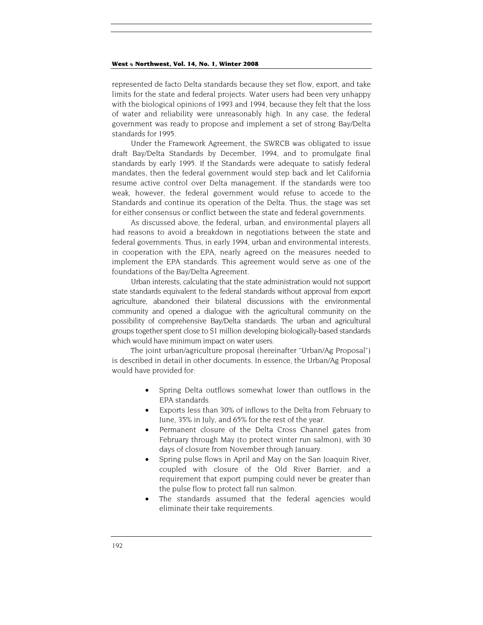represented de facto Delta standards because they set flow, export, and take limits for the state and federal projects. Water users had been very unhappy with the biological opinions of 1993 and 1994, because they felt that the loss of water and reliability were unreasonably high. In any case, the federal government was ready to propose and implement a set of strong Bay/Delta standards for 1995.

Under the Framework Agreement, the SWRCB was obligated to issue draft Bay/Delta Standards by December, 1994, and to promulgate final standards by early 1995. If the Standards were adequate to satisfy federal mandates, then the federal government would step back and let California resume active control over Delta management. If the standards were too weak, however, the federal government would refuse to accede to the Standards and continue its operation of the Delta. Thus, the stage was set for either consensus or conflict between the state and federal governments.

As discussed above, the federal, urban, and environmental players all had reasons to avoid a breakdown in negotiations between the state and federal governments. Thus, in early 1994, urban and environmental interests, in cooperation with the EPA, nearly agreed on the measures needed to implement the EPA standards. This agreement would serve as one of the foundations of the Bay/Delta Agreement.

Urban interests, calculating that the state administration would not support state standards equivalent to the federal standards without approval from export agriculture, abandoned their bilateral discussions with the environmental community and opened a dialogue with the agricultural community on the possibility of comprehensive Bay/Delta standards. The urban and agricultural groups together spent close to \$1 million developing biologically-based standards which would have minimum impact on water users.

The joint urban/agriculture proposal (hereinafter "Urban/Ag Proposal") is described in detail in other documents. In essence, the Urban/Ag Proposal would have provided for:

- Spring Delta outflows somewhat lower than outflows in the EPA standards.
- Exports less than 30% of inflows to the Delta from February to June, 35% in July, and 65% for the rest of the year.
- Permanent closure of the Delta Cross Channel gates from February through May (to protect winter run salmon), with 30 days of closure from November through January.
- Spring pulse flows in April and May on the San Joaquin River, coupled with closure of the Old River Barrier, and a requirement that export pumping could never be greater than the pulse flow to protect fall run salmon.
- The standards assumed that the federal agencies would eliminate their take requirements.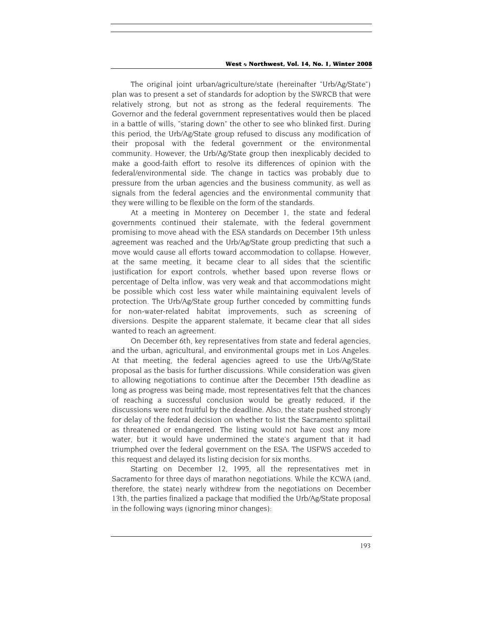The original joint urban/agriculture/state (hereinafter "Urb/Ag/State") plan was to present a set of standards for adoption by the SWRCB that were relatively strong, but not as strong as the federal requirements. The Governor and the federal government representatives would then be placed in a battle of wills, "staring down" the other to see who blinked first. During this period, the Urb/Ag/State group refused to discuss any modification of their proposal with the federal government or the environmental community. However, the Urb/Ag/State group then inexplicably decided to make a good-faith effort to resolve its differences of opinion with the federal/environmental side. The change in tactics was probably due to pressure from the urban agencies and the business community, as well as signals from the federal agencies and the environmental community that they were willing to be flexible on the form of the standards.

At a meeting in Monterey on December 1, the state and federal governments continued their stalemate, with the federal government promising to move ahead with the ESA standards on December 15th unless agreement was reached and the Urb/Ag/State group predicting that such a move would cause all efforts toward accommodation to collapse. However, at the same meeting, it became clear to all sides that the scientific justification for export controls, whether based upon reverse flows or percentage of Delta inflow, was very weak and that accommodations might be possible which cost less water while maintaining equivalent levels of protection. The Urb/Ag/State group further conceded by committing funds for non-water-related habitat improvements, such as screening of diversions. Despite the apparent stalemate, it became clear that all sides wanted to reach an agreement.

On December 6th, key representatives from state and federal agencies, and the urban, agricultural, and environmental groups met in Los Angeles. At that meeting, the federal agencies agreed to use the Urb/Ag/State proposal as the basis for further discussions. While consideration was given to allowing negotiations to continue after the December 15th deadline as long as progress was being made, most representatives felt that the chances of reaching a successful conclusion would be greatly reduced, if the discussions were not fruitful by the deadline. Also, the state pushed strongly for delay of the federal decision on whether to list the Sacramento splittail as threatened or endangered. The listing would not have cost any more water, but it would have undermined the state's argument that it had triumphed over the federal government on the ESA. The USFWS acceded to this request and delayed its listing decision for six months.

Starting on December 12, 1995, all the representatives met in Sacramento for three days of marathon negotiations. While the KCWA (and, therefore, the state) nearly withdrew from the negotiations on December 13th, the parties finalized a package that modified the Urb/Ag/State proposal in the following ways (ignoring minor changes):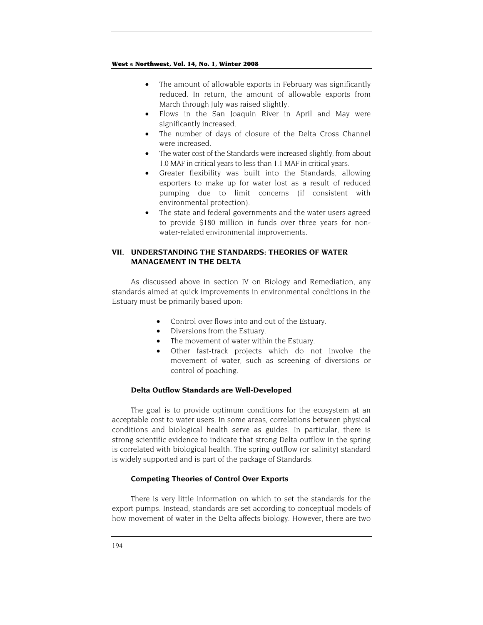- The amount of allowable exports in February was significantly reduced. In return, the amount of allowable exports from March through July was raised slightly.
- Flows in the San Joaquin River in April and May were significantly increased.
- The number of days of closure of the Delta Cross Channel were increased.
- The water cost of the Standards were increased slightly, from about 1.0 MAF in critical years to less than 1.1 MAF in critical years.
- Greater flexibility was built into the Standards, allowing exporters to make up for water lost as a result of reduced pumping due to limit concerns (if consistent with environmental protection).
- The state and federal governments and the water users agreed to provide \$180 million in funds over three years for nonwater-related environmental improvements.

## **VII. UNDERSTANDING THE STANDARDS: THEORIES OF WATER MANAGEMENT IN THE DELTA**

As discussed above in section IV on Biology and Remediation, any standards aimed at quick improvements in environmental conditions in the Estuary must be primarily based upon:

- Control over flows into and out of the Estuary.
- Diversions from the Estuary.
- The movement of water within the Estuary.
- Other fast-track projects which do not involve the movement of water, such as screening of diversions or control of poaching.

## **Delta Outflow Standards are Well-Developed**

The goal is to provide optimum conditions for the ecosystem at an acceptable cost to water users. In some areas, correlations between physical conditions and biological health serve as guides. In particular, there is strong scientific evidence to indicate that strong Delta outflow in the spring is correlated with biological health. The spring outflow (or salinity) standard is widely supported and is part of the package of Standards.

## **Competing Theories of Control Over Exports**

There is very little information on which to set the standards for the export pumps. Instead, standards are set according to conceptual models of how movement of water in the Delta affects biology. However, there are two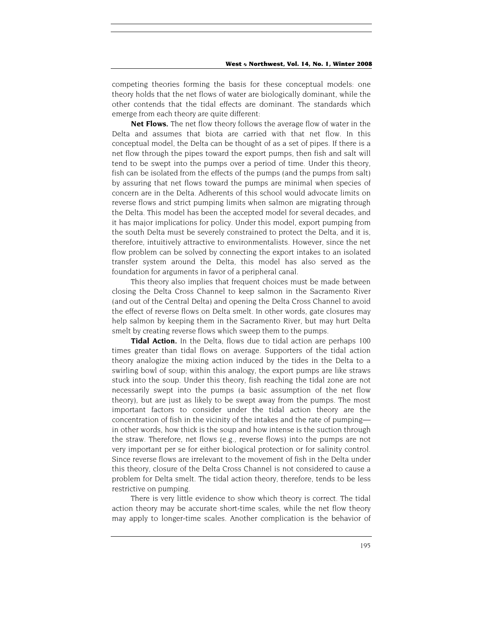competing theories forming the basis for these conceptual models: one theory holds that the net flows of water are biologically dominant, while the other contends that the tidal effects are dominant. The standards which emerge from each theory are quite different:

**Net Flows.** The net flow theory follows the average flow of water in the Delta and assumes that biota are carried with that net flow. In this conceptual model, the Delta can be thought of as a set of pipes. If there is a net flow through the pipes toward the export pumps, then fish and salt will tend to be swept into the pumps over a period of time. Under this theory, fish can be isolated from the effects of the pumps (and the pumps from salt) by assuring that net flows toward the pumps are minimal when species of concern are in the Delta. Adherents of this school would advocate limits on reverse flows and strict pumping limits when salmon are migrating through the Delta. This model has been the accepted model for several decades, and it has major implications for policy. Under this model, export pumping from the south Delta must be severely constrained to protect the Delta, and it is, therefore, intuitively attractive to environmentalists. However, since the net flow problem can be solved by connecting the export intakes to an isolated transfer system around the Delta, this model has also served as the foundation for arguments in favor of a peripheral canal.

This theory also implies that frequent choices must be made between closing the Delta Cross Channel to keep salmon in the Sacramento River (and out of the Central Delta) and opening the Delta Cross Channel to avoid the effect of reverse flows on Delta smelt. In other words, gate closures may help salmon by keeping them in the Sacramento River, but may hurt Delta smelt by creating reverse flows which sweep them to the pumps.

**Tidal Action.** In the Delta, flows due to tidal action are perhaps 100 times greater than tidal flows on average. Supporters of the tidal action theory analogize the mixing action induced by the tides in the Delta to a swirling bowl of soup; within this analogy, the export pumps are like straws stuck into the soup. Under this theory, fish reaching the tidal zone are not necessarily swept into the pumps (a basic assumption of the net flow theory), but are just as likely to be swept away from the pumps. The most important factors to consider under the tidal action theory are the concentration of fish in the vicinity of the intakes and the rate of pumping in other words, how thick is the soup and how intense is the suction through the straw. Therefore, net flows (e.g., reverse flows) into the pumps are not very important per se for either biological protection or for salinity control. Since reverse flows are irrelevant to the movement of fish in the Delta under this theory, closure of the Delta Cross Channel is not considered to cause a problem for Delta smelt. The tidal action theory, therefore, tends to be less restrictive on pumping.

There is very little evidence to show which theory is correct. The tidal action theory may be accurate short-time scales, while the net flow theory may apply to longer-time scales. Another complication is the behavior of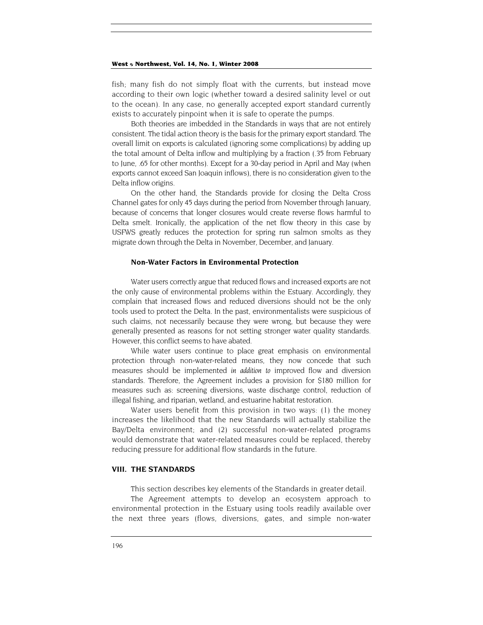fish; many fish do not simply float with the currents, but instead move according to their own logic (whether toward a desired salinity level or out to the ocean). In any case, no generally accepted export standard currently exists to accurately pinpoint when it is safe to operate the pumps.

Both theories are imbedded in the Standards in ways that are not entirely consistent. The tidal action theory is the basis for the primary export standard. The overall limit on exports is calculated (ignoring some complications) by adding up the total amount of Delta inflow and multiplying by a fraction (.35 from February to June, .65 for other months). Except for a 30-day period in April and May (when exports cannot exceed San Joaquin inflows), there is no consideration given to the Delta inflow origins.

On the other hand, the Standards provide for closing the Delta Cross Channel gates for only 45 days during the period from November through January, because of concerns that longer closures would create reverse flows harmful to Delta smelt. Ironically, the application of the net flow theory in this case by USFWS greatly reduces the protection for spring run salmon smolts as they migrate down through the Delta in November, December, and January.

#### **Non-Water Factors in Environmental Protection**

Water users correctly argue that reduced flows and increased exports are not the only cause of environmental problems within the Estuary. Accordingly, they complain that increased flows and reduced diversions should not be the only tools used to protect the Delta. In the past, environmentalists were suspicious of such claims, not necessarily because they were wrong, but because they were generally presented as reasons for not setting stronger water quality standards. However, this conflict seems to have abated.

While water users continue to place great emphasis on environmental protection through non-water-related means, they now concede that such measures should be implemented *in addition to* improved flow and diversion standards. Therefore, the Agreement includes a provision for \$180 million for measures such as: screening diversions, waste discharge control, reduction of illegal fishing, and riparian, wetland, and estuarine habitat restoration.

Water users benefit from this provision in two ways: (1) the money increases the likelihood that the new Standards will actually stabilize the Bay/Delta environment; and (2) successful non-water-related programs would demonstrate that water-related measures could be replaced, thereby reducing pressure for additional flow standards in the future.

## **VIII. THE STANDARDS**

This section describes key elements of the Standards in greater detail.

The Agreement attempts to develop an ecosystem approach to environmental protection in the Estuary using tools readily available over the next three years (flows, diversions, gates, and simple non-water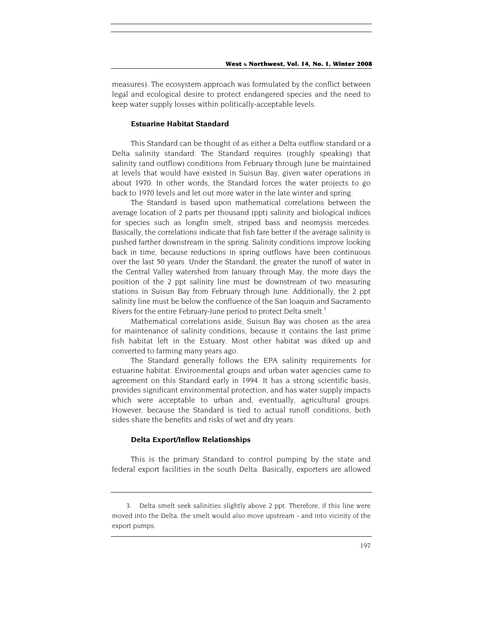measures). The ecosystem approach was formulated by the conflict between legal and ecological desire to protect endangered species and the need to keep water supply losses within politically-acceptable levels.

#### **Estuarine Habitat Standard**

This Standard can be thought of as either a Delta outflow standard or a Delta salinity standard. The Standard requires (roughly speaking) that salinity (and outflow) conditions from February through June be maintained at levels that would have existed in Suisun Bay, given water operations in about 1970. In other words, the Standard forces the water projects to go back to 1970 levels and let out more water in the late winter and spring.

The Standard is based upon mathematical correlations between the average location of 2 parts per thousand (ppt) salinity and biological indices for species such as longfin smelt, striped bass and neomysis mercedes. Basically, the correlations indicate that fish fare better if the average salinity is pushed farther downstream in the spring. Salinity conditions improve looking back in time, because reductions in spring outflows have been continuous over the last 50 years. Under the Standard, the greater the runoff of water in the Central Valley watershed from January through May, the more days the position of the 2 ppt salinity line must be downstream of two measuring stations in Suisun Bay from February through June. Additionally, the 2 ppt salinity line must be below the confluence of the San Joaquin and Sacramento Rivers for the entire February-June period to protect Delta smelt.<sup>3</sup>

Mathematical correlations aside, Suisun Bay was chosen as the area for maintenance of salinity conditions, because it contains the last prime fish habitat left in the Estuary. Most other habitat was diked up and converted to farming many years ago.

The Standard generally follows the EPA salinity requirements for estuarine habitat. Environmental groups and urban water agencies came to agreement on this Standard early in 1994. It has a strong scientific basis, provides significant environmental protection, and has water supply impacts which were acceptable to urban and, eventually, agricultural groups. However, because the Standard is tied to actual runoff conditions, both sides share the benefits and risks of wet and dry years.

#### **Delta Export/Inflow Relationships**

This is the primary Standard to control pumping by the state and federal export facilities in the south Delta. Basically, exporters are allowed

<span id="page-19-0"></span><sup>3.</sup> Delta smelt seek salinities slightly above 2 ppt. Therefore, if this line were moved into the Delta, the smelt would also move upstream - and into vicinity of the export pumps.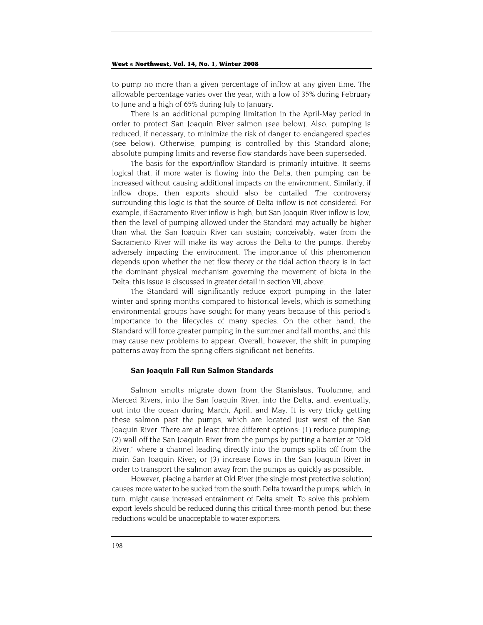to pump no more than a given percentage of inflow at any given time. The allowable percentage varies over the year, with a low of 35% during February to June and a high of 65% during July to January.

There is an additional pumping limitation in the April-May period in order to protect San Joaquin River salmon (see below). Also, pumping is reduced, if necessary, to minimize the risk of danger to endangered species (see below). Otherwise, pumping is controlled by this Standard alone; absolute pumping limits and reverse flow standards have been superseded.

The basis for the export/inflow Standard is primarily intuitive. It seems logical that, if more water is flowing into the Delta, then pumping can be increased without causing additional impacts on the environment. Similarly, if inflow drops, then exports should also be curtailed. The controversy surrounding this logic is that the source of Delta inflow is not considered. For example, if Sacramento River inflow is high, but San Joaquin River inflow is low, then the level of pumping allowed under the Standard may actually be higher than what the San Joaquin River can sustain; conceivably, water from the Sacramento River will make its way across the Delta to the pumps, thereby adversely impacting the environment. The importance of this phenomenon depends upon whether the net flow theory or the tidal action theory is in fact the dominant physical mechanism governing the movement of biota in the Delta; this issue is discussed in greater detail in section VII, above.

The Standard will significantly reduce export pumping in the later winter and spring months compared to historical levels, which is something environmental groups have sought for many years because of this period's importance to the lifecycles of many species. On the other hand, the Standard will force greater pumping in the summer and fall months, and this may cause new problems to appear. Overall, however, the shift in pumping patterns away from the spring offers significant net benefits.

#### **San Joaquin Fall Run Salmon Standards**

Salmon smolts migrate down from the Stanislaus, Tuolumne, and Merced Rivers, into the San Joaquin River, into the Delta, and, eventually, out into the ocean during March, April, and May. It is very tricky getting these salmon past the pumps, which are located just west of the San Joaquin River. There are at least three different options: (1) reduce pumping; (2) wall off the San Joaquin River from the pumps by putting a barrier at "Old River," where a channel leading directly into the pumps splits off from the main San Joaquin River; or (3) increase flows in the San Joaquin River in order to transport the salmon away from the pumps as quickly as possible.

However, placing a barrier at Old River (the single most protective solution) causes more water to be sucked from the south Delta toward the pumps, which, in turn, might cause increased entrainment of Delta smelt. To solve this problem, export levels should be reduced during this critical three-month period, but these reductions would be unacceptable to water exporters.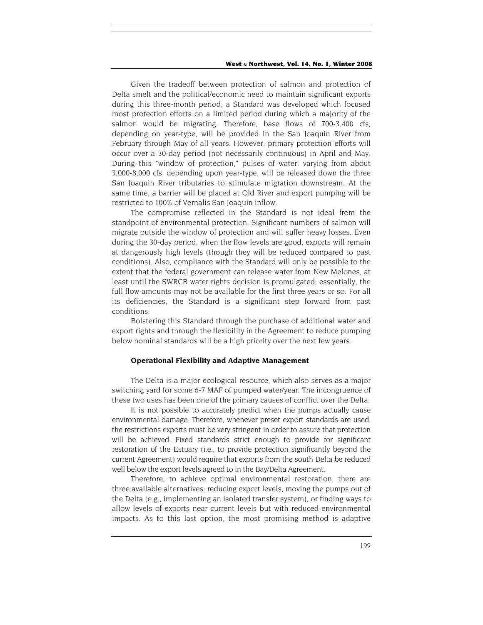Given the tradeoff between protection of salmon and protection of Delta smelt and the political/economic need to maintain significant exports during this three-month period, a Standard was developed which focused most protection efforts on a limited period during which a majority of the salmon would be migrating. Therefore, base flows of 700-3,400 cfs, depending on year-type, will be provided in the San Joaquin River from February through May of all years. However, primary protection efforts will occur over a 30-day period (not necessarily continuous) in April and May. During this "window of protection," pulses of water, varying from about 3,000-8,000 cfs, depending upon year-type, will be released down the three San Joaquin River tributaries to stimulate migration downstream. At the same time, a barrier will be placed at Old River and export pumping will be restricted to 100% of Vernalis San Joaquin inflow.

The compromise reflected in the Standard is not ideal from the standpoint of environmental protection. Significant numbers of salmon will migrate outside the window of protection and will suffer heavy losses. Even during the 30-day period, when the flow levels are good, exports will remain at dangerously high levels (though they will be reduced compared to past conditions). Also, compliance with the Standard will only be possible to the extent that the federal government can release water from New Melones, at least until the SWRCB water rights decision is promulgated; essentially, the full flow amounts may not be available for the first three years or so. For all its deficiencies, the Standard is a significant step forward from past conditions.

Bolstering this Standard through the purchase of additional water and export rights and through the flexibility in the Agreement to reduce pumping below nominal standards will be a high priority over the next few years.

#### **Operational Flexibility and Adaptive Management**

The Delta is a major ecological resource, which also serves as a major switching yard for some 6-7 MAF of pumped water/year. The incongruence of these two uses has been one of the primary causes of conflict over the Delta.

It is not possible to accurately predict when the pumps actually cause environmental damage. Therefore, whenever preset export standards are used, the restrictions exports must be very stringent in order to assure that protection will be achieved. Fixed standards strict enough to provide for significant restoration of the Estuary (i.e., to provide protection significantly beyond the current Agreement) would require that exports from the south Delta be reduced well below the export levels agreed to in the Bay/Delta Agreement.

Therefore, to achieve optimal environmental restoration, there are three available alternatives: reducing export levels, moving the pumps out of the Delta (e.g., implementing an isolated transfer system), or finding ways to allow levels of exports near current levels but with reduced environmental impacts. As to this last option, the most promising method is adaptive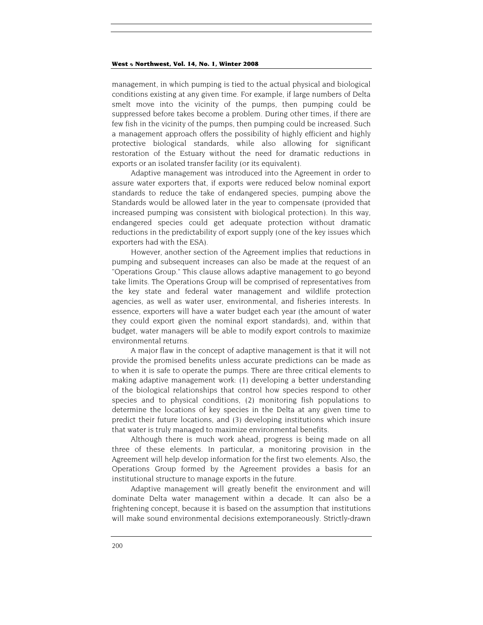management, in which pumping is tied to the actual physical and biological conditions existing at any given time. For example, if large numbers of Delta smelt move into the vicinity of the pumps, then pumping could be suppressed before takes become a problem. During other times, if there are few fish in the vicinity of the pumps, then pumping could be increased. Such a management approach offers the possibility of highly efficient and highly protective biological standards, while also allowing for significant restoration of the Estuary without the need for dramatic reductions in exports or an isolated transfer facility (or its equivalent).

Adaptive management was introduced into the Agreement in order to assure water exporters that, if exports were reduced below nominal export standards to reduce the take of endangered species, pumping above the Standards would be allowed later in the year to compensate (provided that increased pumping was consistent with biological protection). In this way, endangered species could get adequate protection without dramatic reductions in the predictability of export supply (one of the key issues which exporters had with the ESA).

However, another section of the Agreement implies that reductions in pumping and subsequent increases can also be made at the request of an "Operations Group." This clause allows adaptive management to go beyond take limits. The Operations Group will be comprised of representatives from the key state and federal water management and wildlife protection agencies, as well as water user, environmental, and fisheries interests. In essence, exporters will have a water budget each year (the amount of water they could export given the nominal export standards), and, within that budget, water managers will be able to modify export controls to maximize environmental returns.

A major flaw in the concept of adaptive management is that it will not provide the promised benefits unless accurate predictions can be made as to when it is safe to operate the pumps. There are three critical elements to making adaptive management work: (1) developing a better understanding of the biological relationships that control how species respond to other species and to physical conditions, (2) monitoring fish populations to determine the locations of key species in the Delta at any given time to predict their future locations, and (3) developing institutions which insure that water is truly managed to maximize environmental benefits.

Although there is much work ahead, progress is being made on all three of these elements. In particular, a monitoring provision in the Agreement will help develop information for the first two elements. Also, the Operations Group formed by the Agreement provides a basis for an institutional structure to manage exports in the future.

Adaptive management will greatly benefit the environment and will dominate Delta water management within a decade. It can also be a frightening concept, because it is based on the assumption that institutions will make sound environmental decisions extemporaneously. Strictly-drawn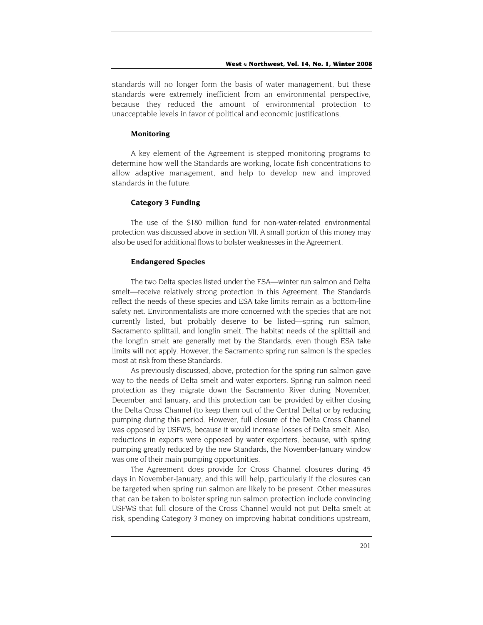standards will no longer form the basis of water management, but these standards were extremely inefficient from an environmental perspective, because they reduced the amount of environmental protection to unacceptable levels in favor of political and economic justifications.

#### **Monitoring**

A key element of the Agreement is stepped monitoring programs to determine how well the Standards are working, locate fish concentrations to allow adaptive management, and help to develop new and improved standards in the future.

#### **Category 3 Funding**

The use of the \$180 million fund for non-water-related environmental protection was discussed above in section VII. A small portion of this money may also be used for additional flows to bolster weaknesses in the Agreement.

#### **Endangered Species**

The two Delta species listed under the ESA—winter run salmon and Delta smelt—receive relatively strong protection in this Agreement. The Standards reflect the needs of these species and ESA take limits remain as a bottom-line safety net. Environmentalists are more concerned with the species that are not currently listed, but probably deserve to be listed—spring run salmon, Sacramento splittail, and longfin smelt. The habitat needs of the splittail and the longfin smelt are generally met by the Standards, even though ESA take limits will not apply. However, the Sacramento spring run salmon is the species most at risk from these Standards.

As previously discussed, above, protection for the spring run salmon gave way to the needs of Delta smelt and water exporters. Spring run salmon need protection as they migrate down the Sacramento River during November, December, and January, and this protection can be provided by either closing the Delta Cross Channel (to keep them out of the Central Delta) or by reducing pumping during this period. However, full closure of the Delta Cross Channel was opposed by USFWS, because it would increase losses of Delta smelt. Also, reductions in exports were opposed by water exporters, because, with spring pumping greatly reduced by the new Standards, the November-January window was one of their main pumping opportunities.

The Agreement does provide for Cross Channel closures during 45 days in November-January, and this will help, particularly if the closures can be targeted when spring run salmon are likely to be present. Other measures that can be taken to bolster spring run salmon protection include convincing USFWS that full closure of the Cross Channel would not put Delta smelt at risk, spending Category 3 money on improving habitat conditions upstream,